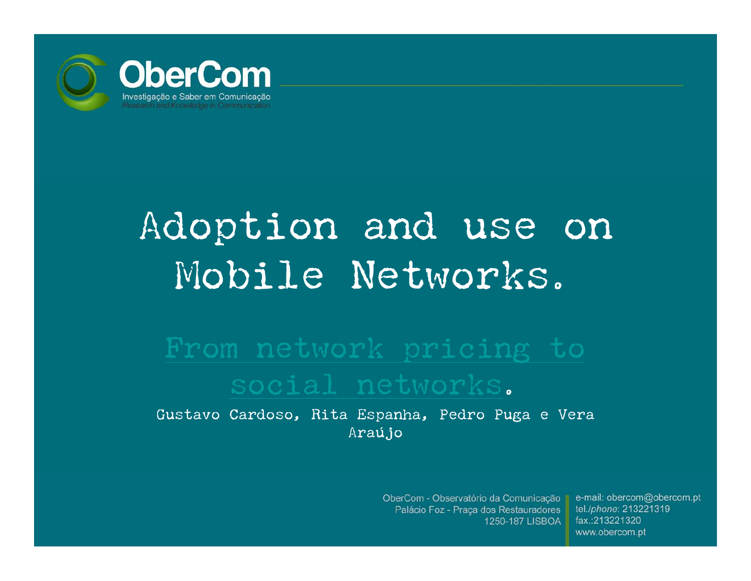

# Adoption and use on Mobile Networks.

# social networks .

Gustavo Cardoso, Rita Espanha, Pedro Puga e Vera Araújo

> OberCom - Observatório da Comunicação Palácio Foz - Praça dos Restauradores 1250-187 LISBOA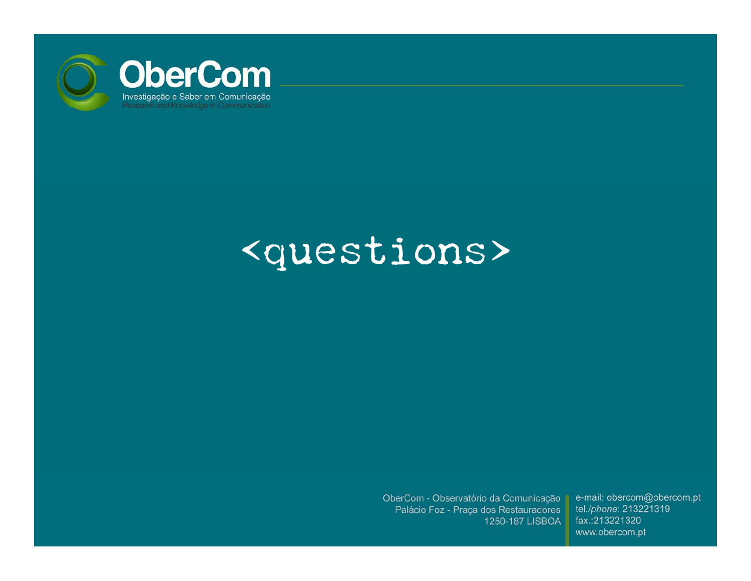

### <questions>

OberCom - Observatório da Comunicação Palácio Foz - Praça dos Restauradores 1250-187 LISBOA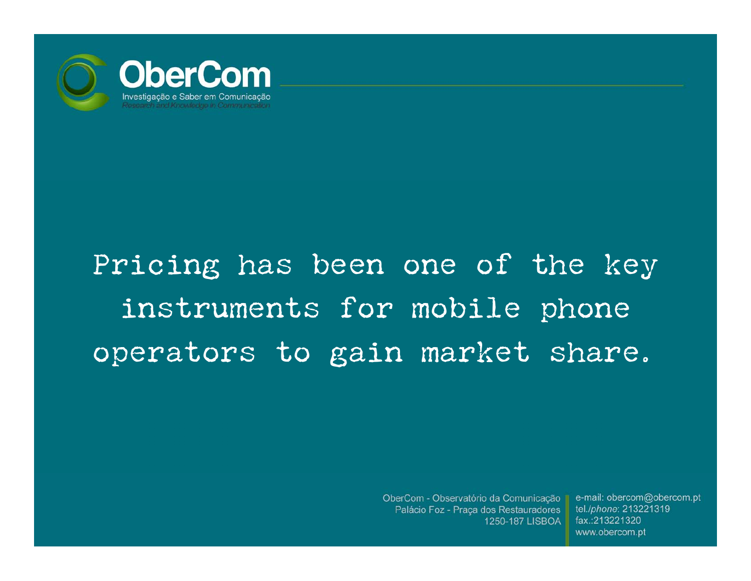

## Pricing has been one of the key instruments for mobile phone operators to gain market share.

OberCom - Observatório da Comunicação Palácio Foz - Praça dos Restauradores 1250-187 LISBOA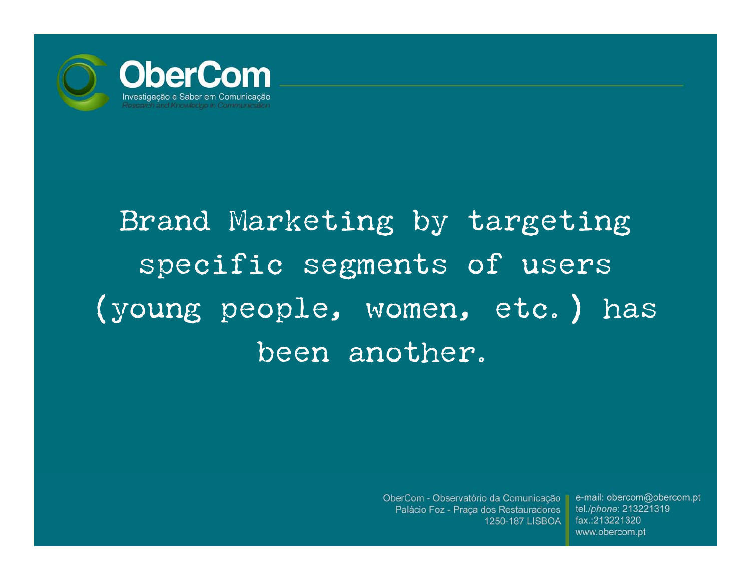

# Brand Marketing by targeting specific segments of users (young people, women, etc.) has been another.

OberCom - Observatório da Comunicação II Palácio Foz - Praça dos Restauradores 1250-187 LISBOA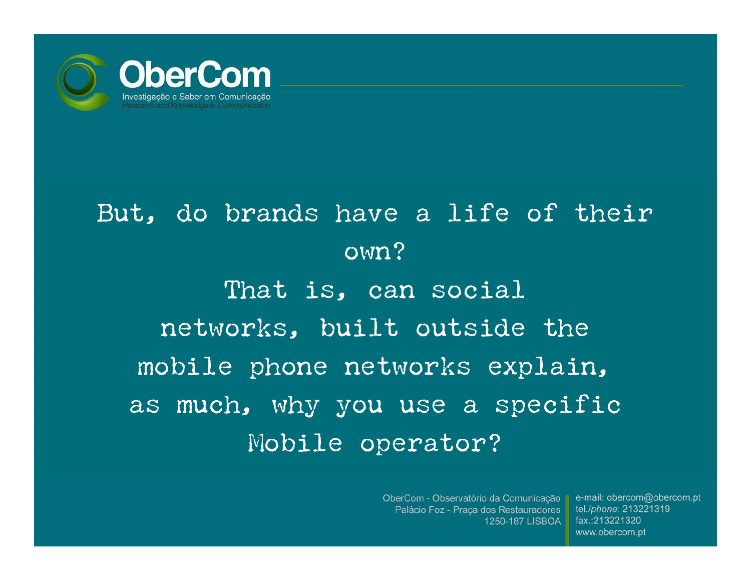

### But, do brands have a life of their own? That is, can social networks, built outside the mobile phone networks explain, as much, why you use a specific Mobile operator?

OberCom - Observatório da Comunicação II Palácio Foz - Praça dos Restauradores 1250-187 LISBOA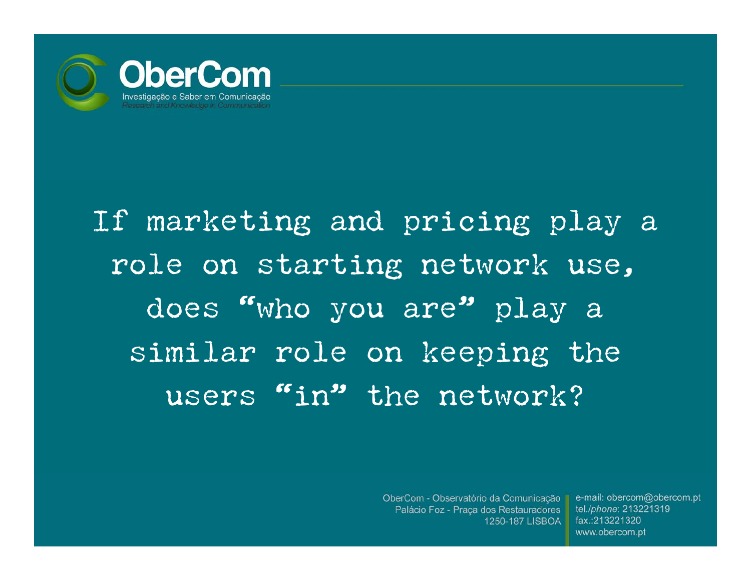

If marketing and pricing play <sup>a</sup> role on starting network use, does "who you are" play <sup>a</sup> similar role on keeping the users "in" the network?

> OberCom - Observatório da Comunicação II Palácio Foz - Praça dos Restauradores 1250-187 LISBOA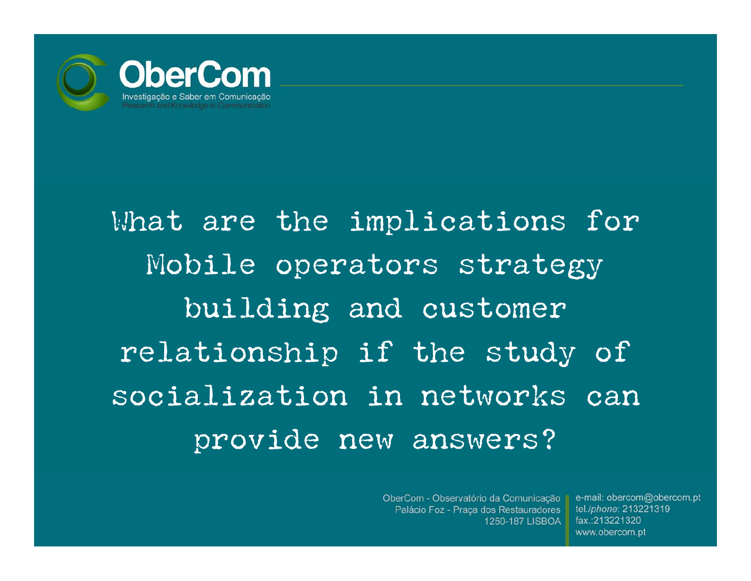

# What are the implications for Mobile operators strategy building and customer relationship if the study of socialization in networks can provide new answers?

OberCom - Observatório da Comunicação || Palácio Foz - Praça dos Restauradores 1250-187 LISBOA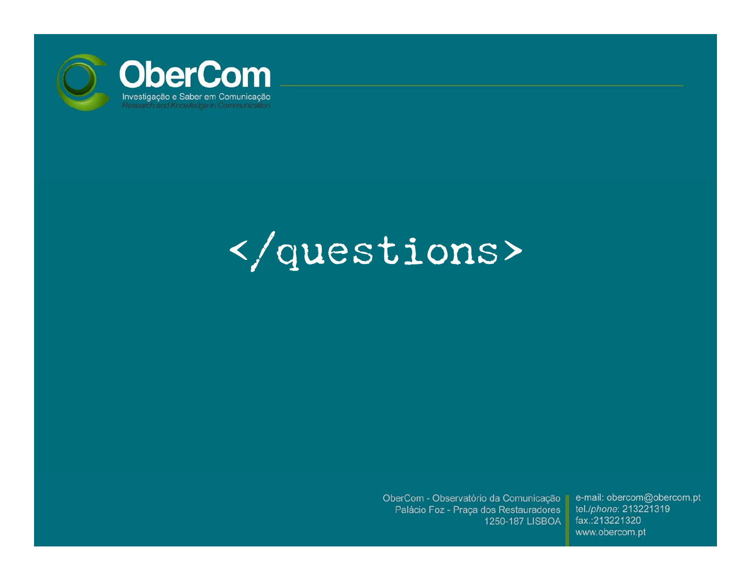

# </questions>

OberCom - Observatório da Comunicação Palácio Foz - Praça dos Restauradores 1250-187 LISBOA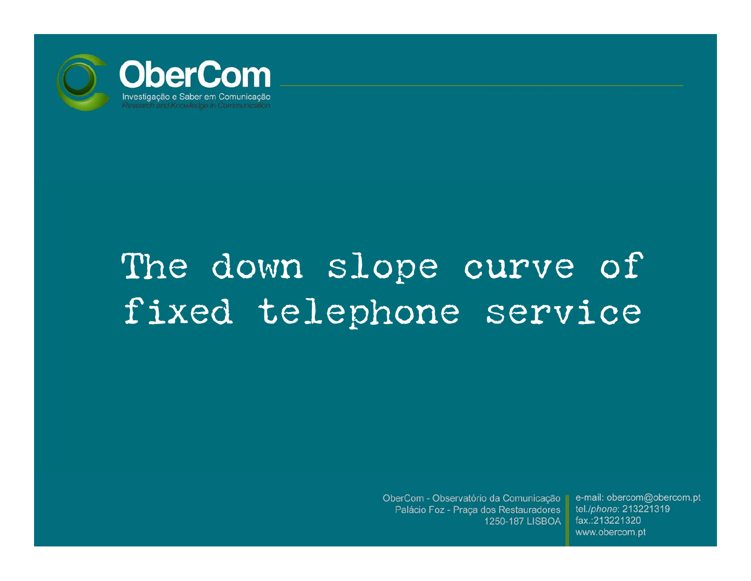

# The down slope curve of fixed telephone service

OberCom - Observatório da Comunicação Palácio Foz - Praça dos Restauradores 1250-187 LISBOA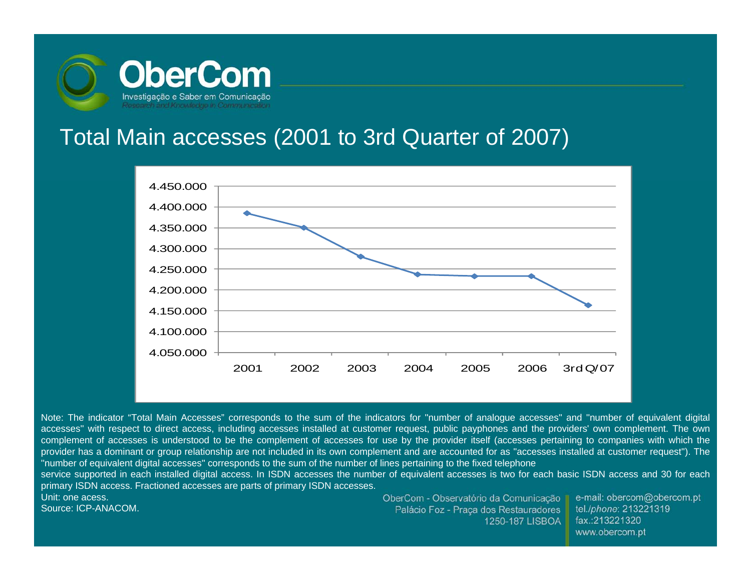

#### Total Main accesses (2001 to 3rd Quarter of 2007)



Note: The indicator "Total Main Accesses" corresponds to the sum of the indicators for ''number of analogue accesses'' and ''number of equivalent digital accesses'' with respect to direct access, including accesses installed at customer request, public payphones and the providers' own complement. The own complement of accesses is understood to be the complement of accesses for use by the provider itself (accesses pertaining to companies with which the provider has a dominant or group relationship are not included in its own complement and are accounted for as ''accesses installed at customer request''). The ''number of equivalent digital accesses'' corresponds to the sum of the number of lines pertaining to the fixed telephone

service supported in each installed digital access. In ISDN accesses the number of equivalent accesses is two for each basic ISDN access and 30 for each primary ISDN access. Fractioned accesses are parts of primary ISDN accesses.

Unit: one acess.

Source: ICP-ANACOM.

OberCom - Observatório da Comunicação Palácio Foz - Praça dos Restauradores 1250-187 LISBOA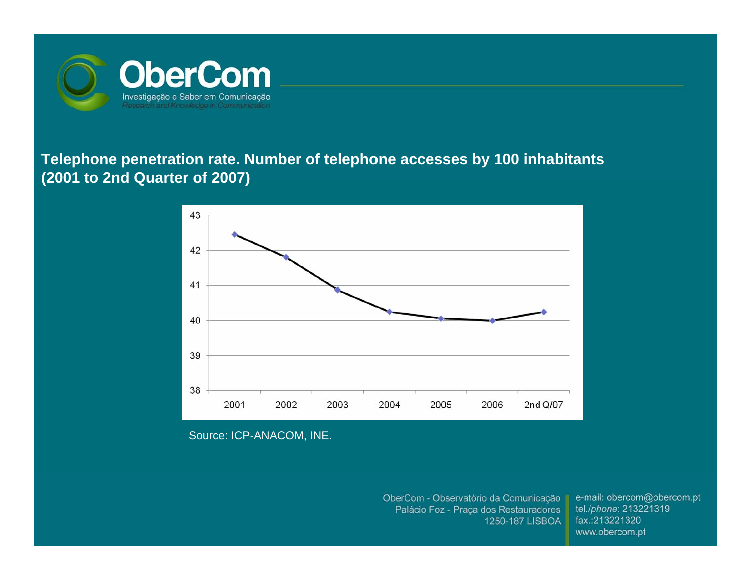

#### **Telephone penetration rate. Number of telephone accesses by 100 inhabitants (2001 to 2nd Quarter of 2007)**



Source: ICP-ANACOM, INE.

OberCom - Observatório da Comunicação Palácio Foz - Praça dos Restauradores 1250-187 LISBOA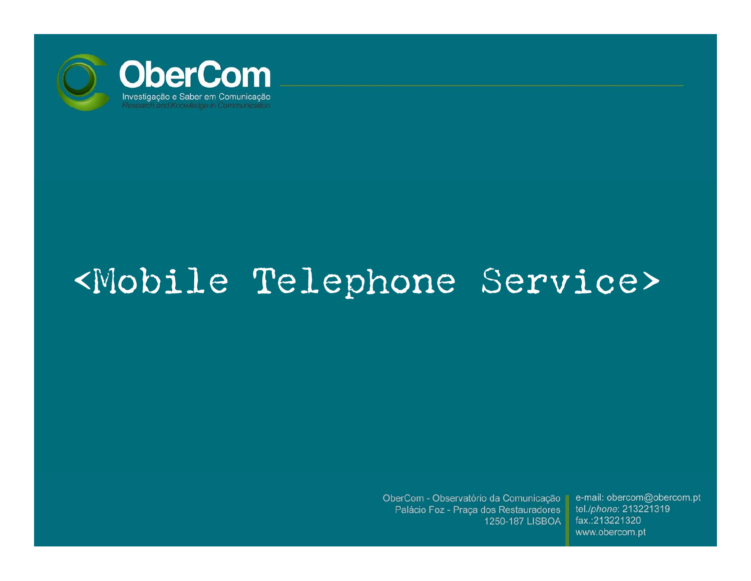

### <Mobile Telephone Service>

OberCom - Observatório da Comunicação Palácio Foz - Praça dos Restauradores 1250-187 LISBOA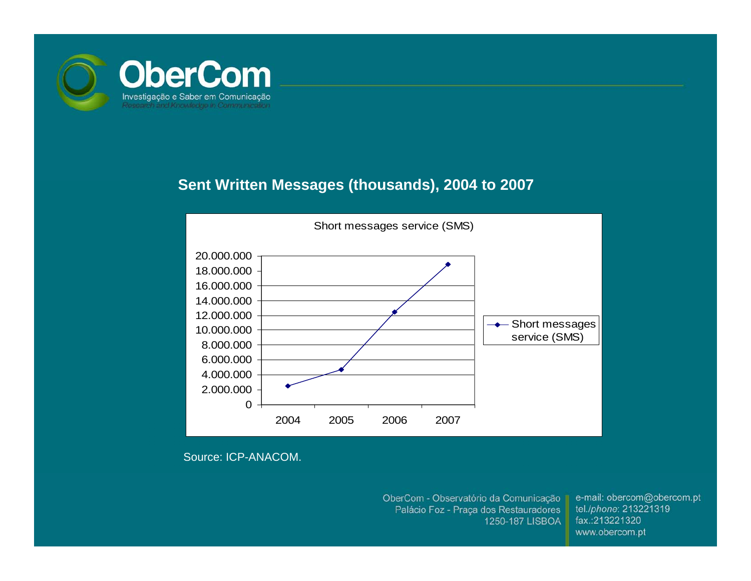

#### **Sent Written Messages (thousands), 2004 to 2007**



Source: ICP-ANACOM.

OberCom - Observatório da Comunicação Palácio Foz - Praça dos Restauradores 1250-187 LISBOA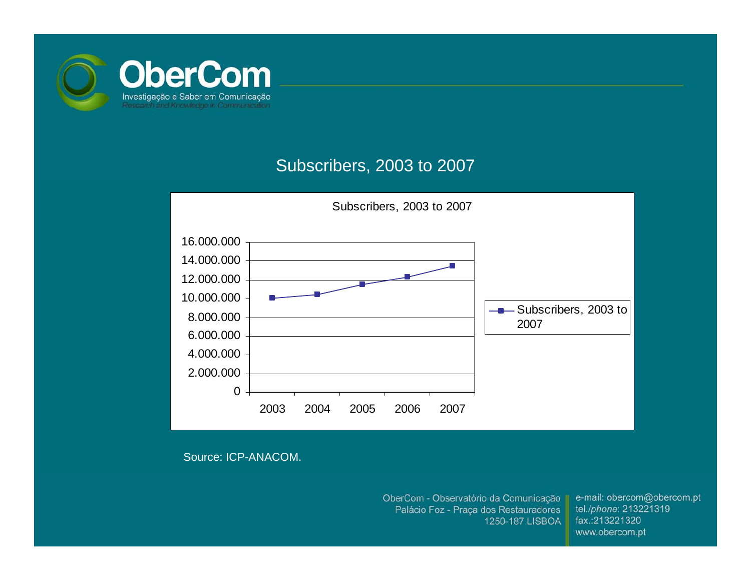

#### Subscribers, 2003 to 2007



Source: ICP-ANACOM.

OberCom - Observatório da Comunicação Palácio Foz - Praça dos Restauradores 1250-187 LISBOA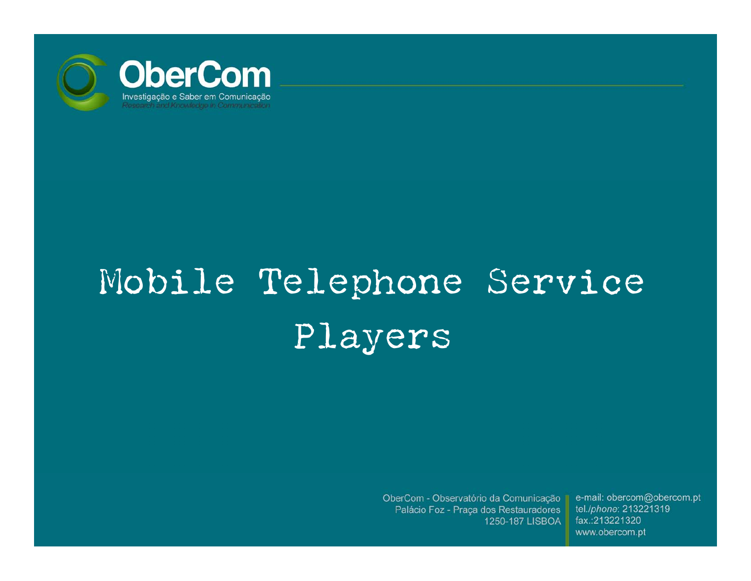

# Mobile Telephone Service Players

OberCom - Observatório da Comunicação Palácio Foz - Praça dos Restauradores 1250-187 LISBOA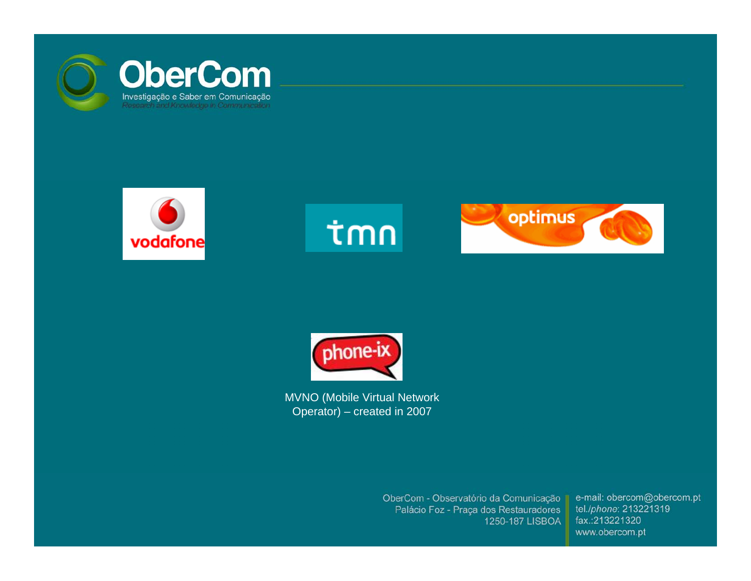







MVNO (Mobile Virtual Network Operator) – created in 2007

> OberCom - Observatório da Comunicação Palácio Foz - Praça dos Restauradores 1250-187 LISBOA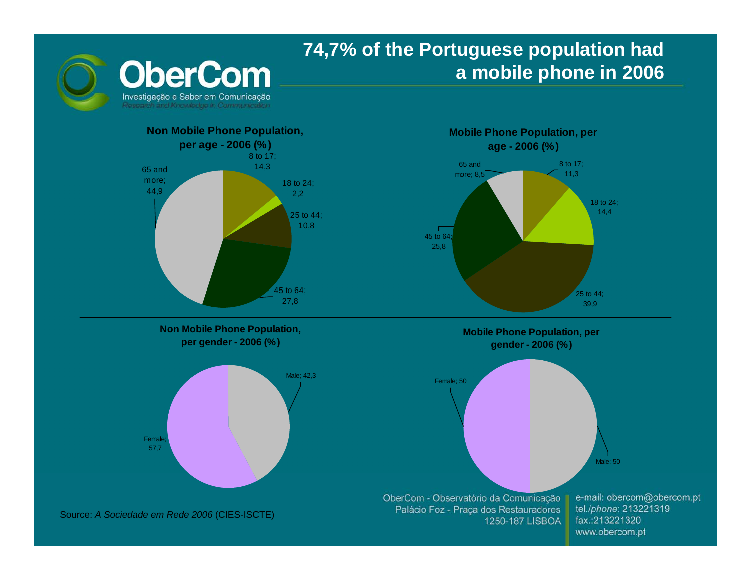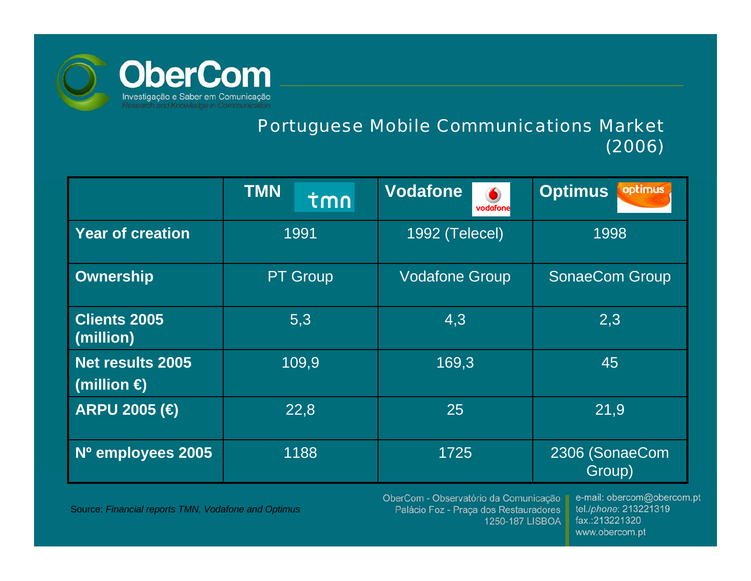

#### Portuguese Mobile Communications Market (2006)

|                                                 | <b>TMN</b><br>tmn | <b>Vodafone</b><br>vodafone | optimus<br><b>Optimus</b> |
|-------------------------------------------------|-------------------|-----------------------------|---------------------------|
| <b>Year of creation</b>                         | 1991              | 1992 (Telecel)              | 1998                      |
| <b>Ownership</b>                                | <b>PT Group</b>   | <b>Vodafone Group</b>       | <b>SonaeCom Group</b>     |
| <b>Clients 2005</b><br>(million)                | 5,3               | 4,3                         | 2,3                       |
| <b>Net results 2005</b><br>(million $\bigoplus$ | 109,9             | 169,3                       | 45                        |
| ARPU 2005 (€                                    | 22,8              | 25                          | 21,9                      |
| Nº employees 2005                               | 1188              | 1725                        | 2306 (SonaeCom<br>Group)  |

Source: *Financial reports TMN, Vodafone and Optimus*

OberCom - Observatório da Comunicação Palácio Foz - Praça dos Restauradores 1250-187 LISBOA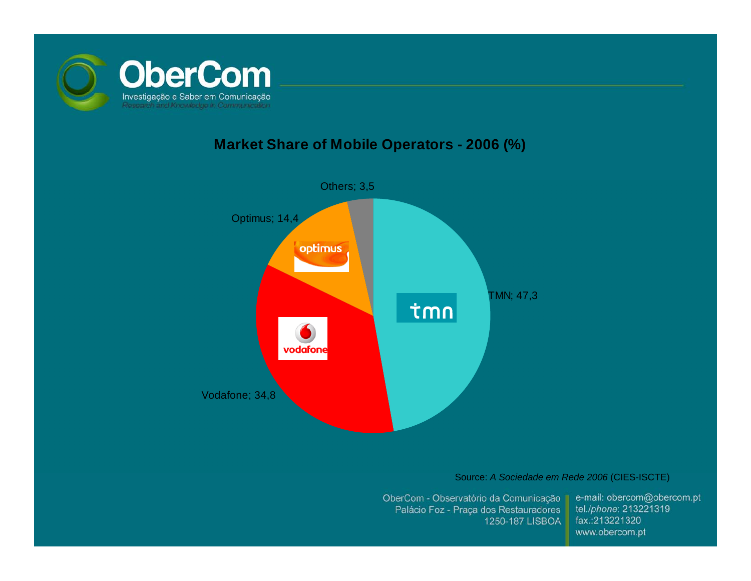

#### **Market Share of Mobile Operators - 2006 (%)**



Source: *A Sociedade em Rede 2006* (CIES-ISCTE)

OberCom - Observatório da Comunicação Palácio Foz - Praça dos Restauradores 1250-187 LISBOA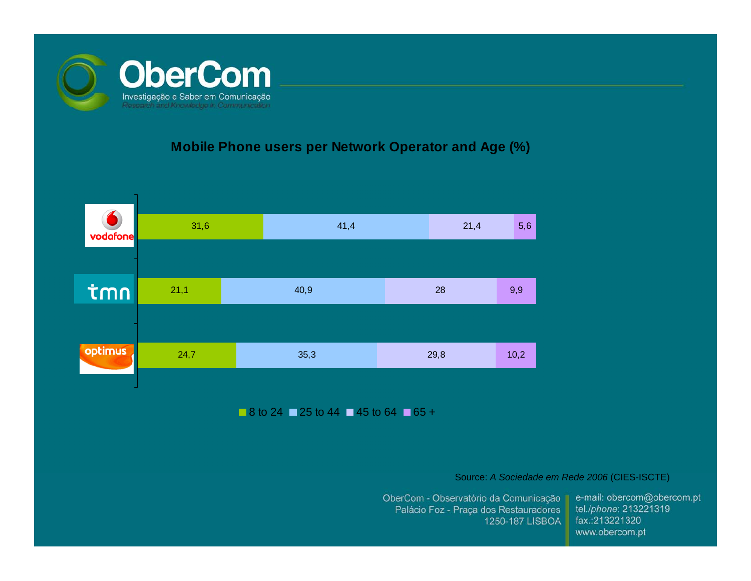

#### **Mobile Phone users per Network Operator and Age (%)**



8 to 24 ■ 25 to 44 ■ 45 to 64 ■ 65 +

Source: *A Sociedade em Rede 2006* (CIES-ISCTE)

OberCom - Observatório da Comunicação Palácio Foz - Praça dos Restauradores 1250-187 LISBOA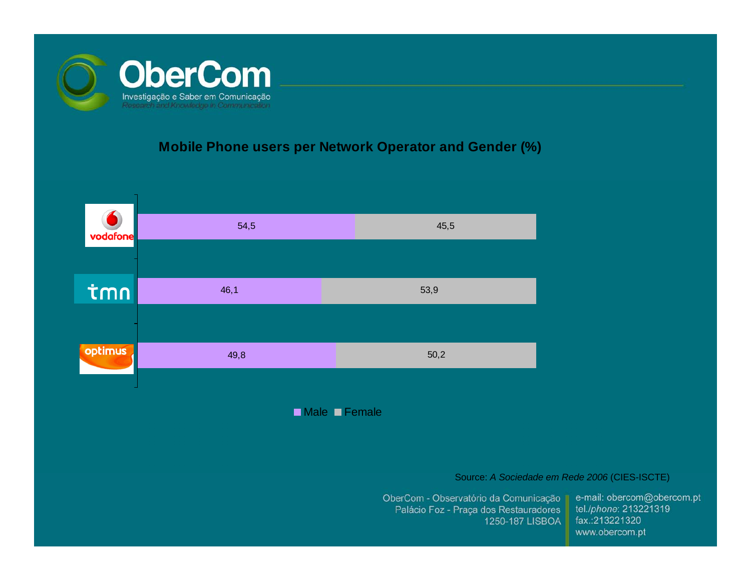

#### **Mobile Phone users per Network Operator and Gender (%)**



Male **⊒** Female

Source: *A Sociedade em Rede 2006* (CIES-ISCTE)

OberCom - Observatório da Comunicação || Palácio Foz - Praça dos Restauradores 1250-187 LISBOA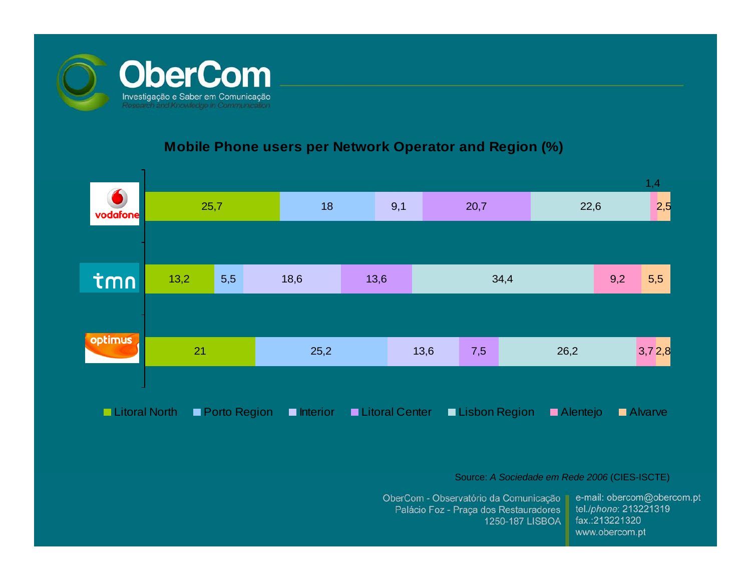

#### **Mobile Phone users per Network Operator and Region (%)**



Source: *A Sociedade em Rede 2006* (CIES-ISCTE)

OberCom - Observatório da Comunicação Palácio Foz - Praça dos Restauradores 1250-187 LISBOA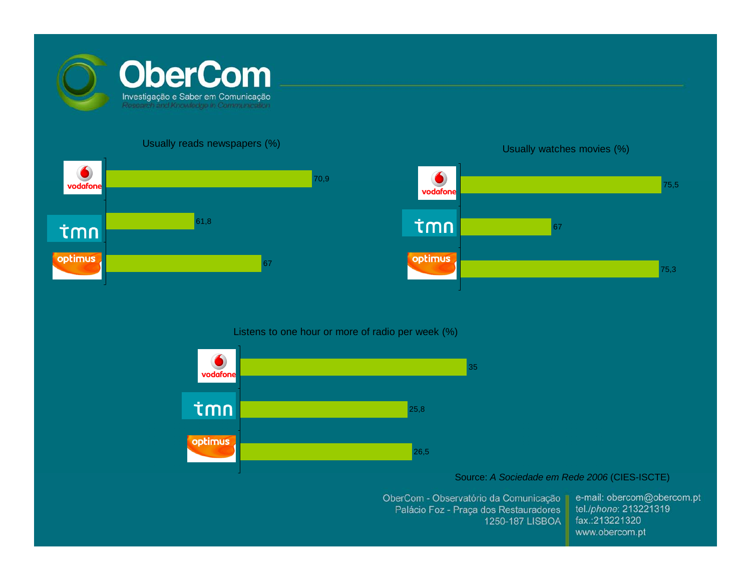

#### Usually reads newspapers (%)





#### Listens to one hour or more of radio per week (%)



#### Source: *A Sociedade em Rede 2006* (CIES-ISCTE)

OberCom - Observatório da Comunicação Palácio Foz - Praça dos Restauradores 1250-187 LISBOA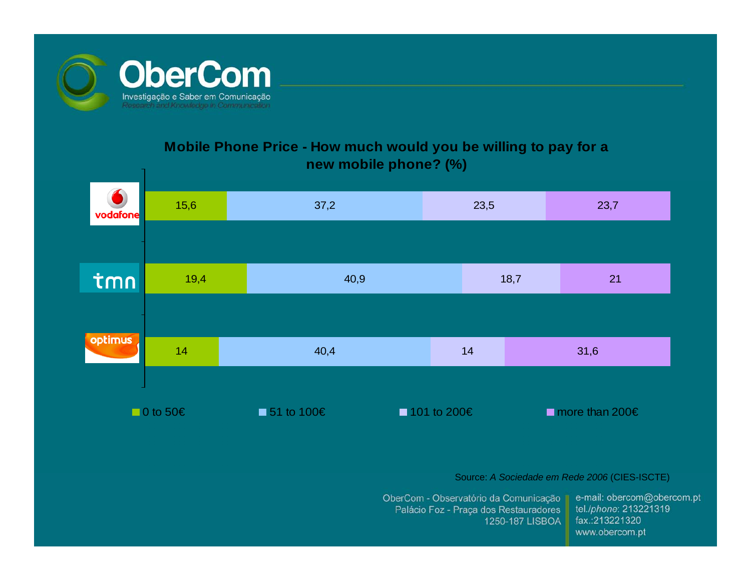

#### **Mobile Phone Price - How much would you be willing to pay for a new mobile phone? (%)**

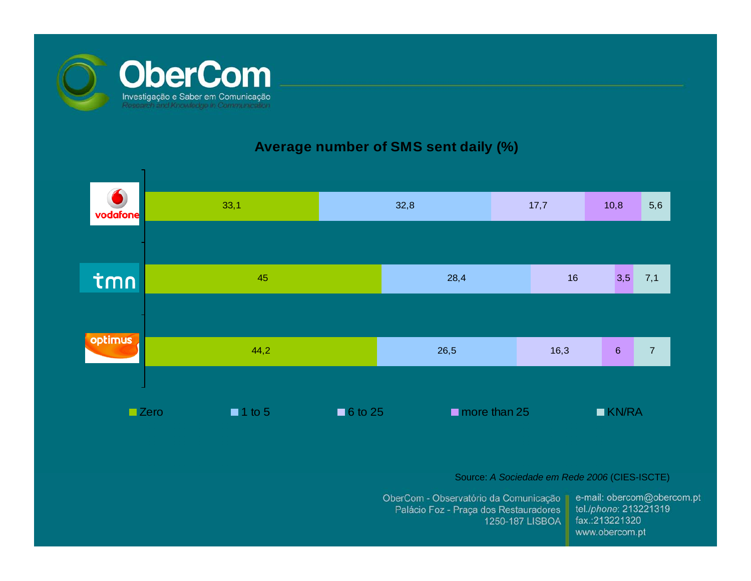

#### **Average number of SMS sent daily (%)**

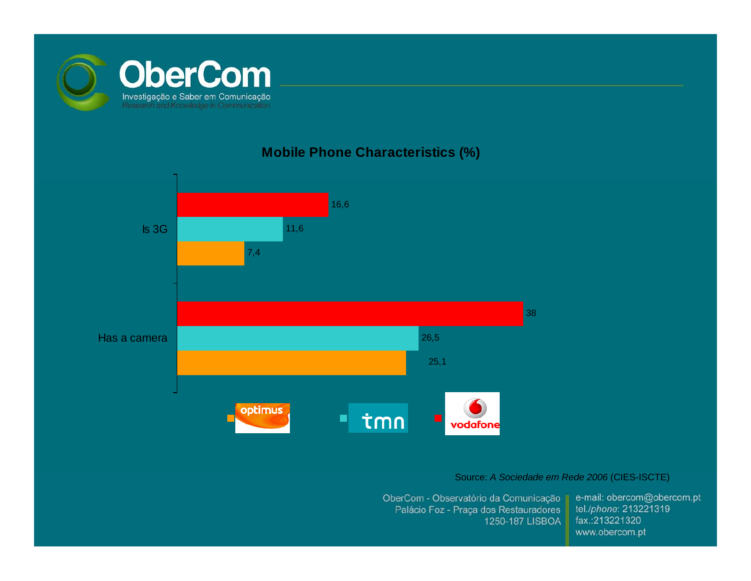

#### **Mobile Phone Characteristics (%)**



#### Source: *A Sociedade em Rede 2006* (CIES-ISCTE)

OberCom - Observatório da Comunicação Palácio Foz - Praça dos Restauradores 1250-187 LISBOA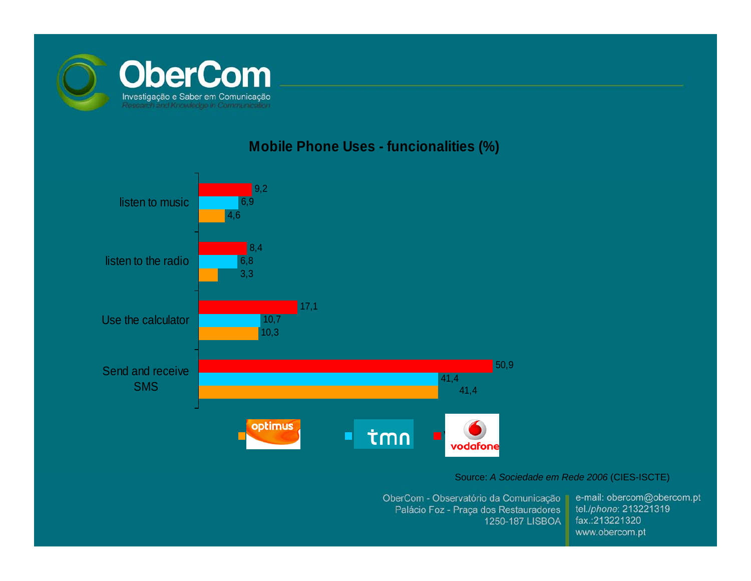

#### **Mobile Phone Uses - funcionalities (%)**



#### Source: *A Sociedade em Rede 2006* (CIES-ISCTE)

OberCom - Observatório da Comunicação Palácio Foz - Praça dos Restauradores 1250-187 LISBOA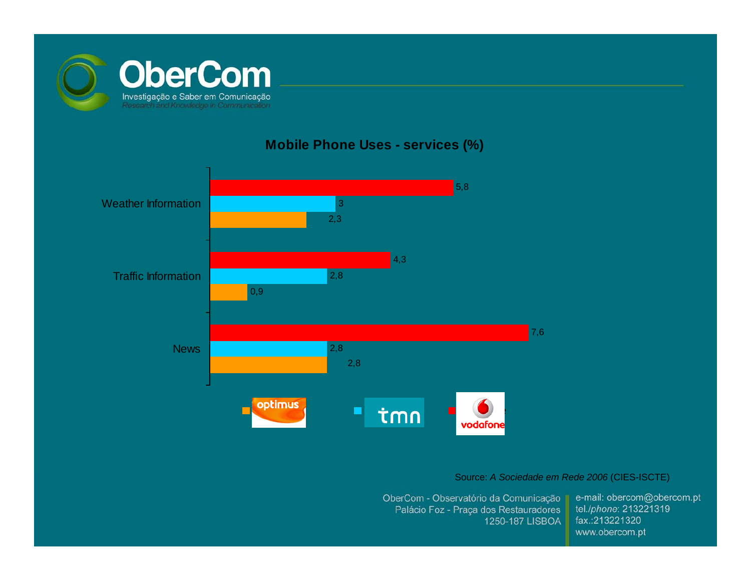

#### **Mobile Phone Uses - services (%)**



#### Source: *A Sociedade em Rede 2006* (CIES-ISCTE)

OberCom - Observatório da Comunicação Palácio Foz - Praça dos Restauradores 1250-187 LISBOA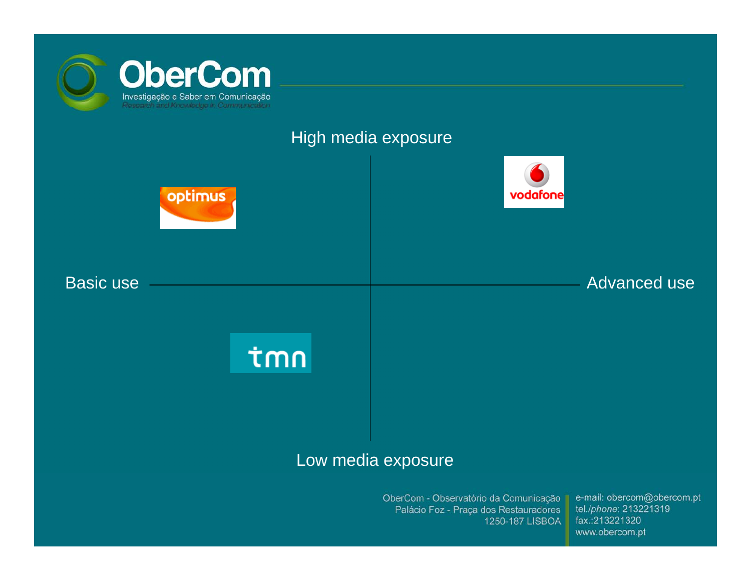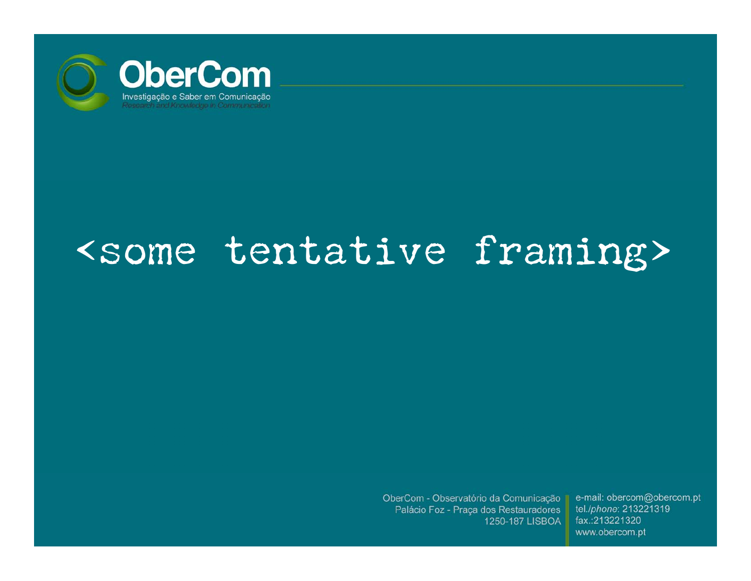

# <some tentative framing>

OberCom - Observatório da Comunicação Palácio Foz - Praça dos Restauradores 1250-187 LISBOA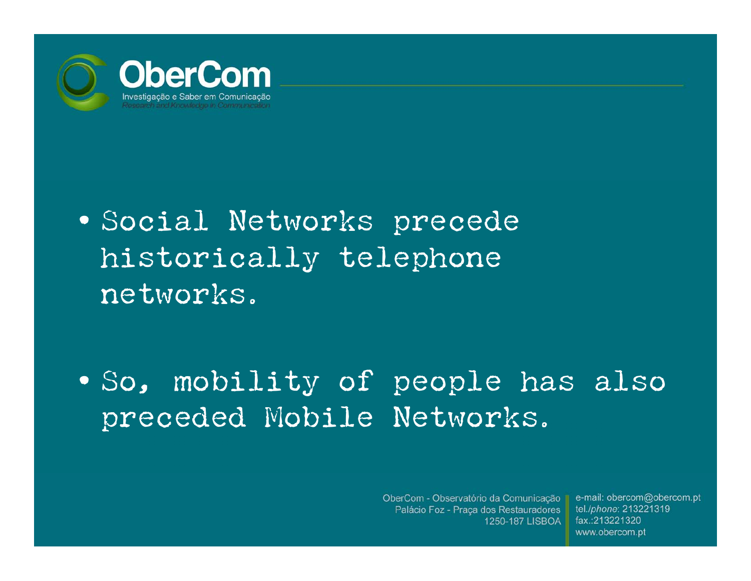

• Social Networks precede historically telephone networks.

• So, mobility of people has also preceded Mobile Networks.

> OberCom - Observatório da Comunicação II Palácio Foz - Praça dos Restauradores 1250-187 LISBOA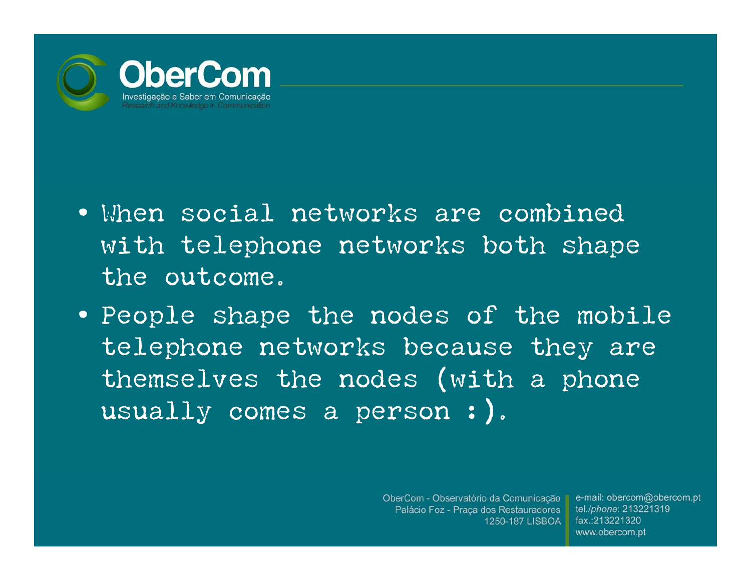

- When social networks are combined with telephone networks both shape the outcome.
- People shape the nodes of the mobile telephone networks because they are themselves the nodes (with a phone usually comes a person :).

OberCom - Observatório da Comunicação II Palácio Foz - Praça dos Restauradores 1250-187 LISBOA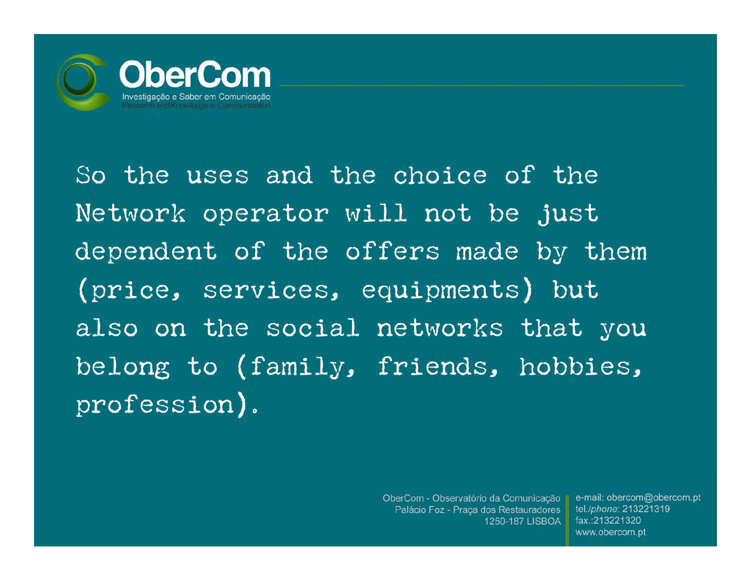

So the uses and the choice of the Network operator will not be just dependent of the offers made by them (price, services, equipments) but also on the social networks that you belong to (family, friends, hobbies, profession).

> OberCom - Observatório da Comunicação II Palácio Foz - Praça dos Restauradores 1250-187 LISBOA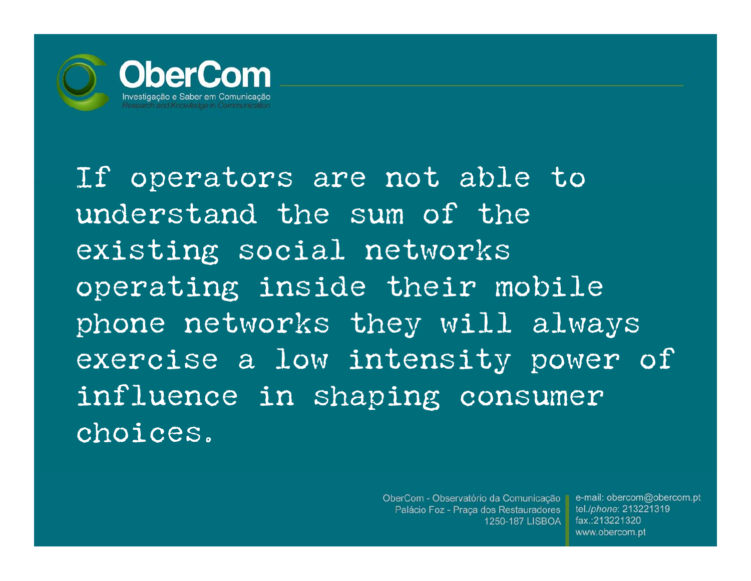

If operators are not able to understand the sum of the existing social networks operating inside their mobile phone networks they will always exercise a low intensity power of influence in shaping consumer choices.

> OberCom - Observatório da Comunicação II Palácio Foz - Praça dos Restauradores 1250-187 LISBOA